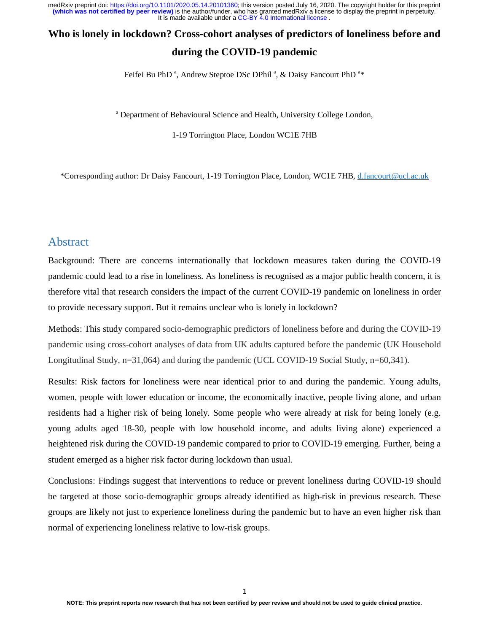# **Who is lonely in lockdown? Cross-cohort analyses of predictors of loneliness before and**

### **during the COVID-19 pandemic**

Feifei Bu PhD<sup>a</sup>, Andrew Steptoe DSc DPhil<sup>a</sup>, & Daisy Fancourt PhD<sup>a\*</sup>

<sup>a</sup> Department of Behavioural Science and Health, University College London,

1-19 Torrington Place, London WC1E 7HB

\*Corresponding author: Dr Daisy Fancourt, 1-19 Torrington Place, London, WC1E 7HB, d.fancourt@ucl.ac.uk

### Abstract

Background: There are concerns internationally that lockdown measures taken during the COVID-19 pandemic could lead to a rise in loneliness. As loneliness is recognised as a major public health concern, it is therefore vital that research considers the impact of the current COVID-19 pandemic on loneliness in order to provide necessary support. But it remains unclear who is lonely in lockdown?

Methods: This study compared socio-demographic predictors of loneliness before and during the COVID-19 pandemic using cross-cohort analyses of data from UK adults captured before the pandemic (UK Household Longitudinal Study, n=31,064) and during the pandemic (UCL COVID-19 Social Study, n=60,341).

Results: Risk factors for loneliness were near identical prior to and during the pandemic. Young adults, women, people with lower education or income, the economically inactive, people living alone, and urban residents had a higher risk of being lonely. Some people who were already at risk for being lonely (e.g. young adults aged 18-30, people with low household income, and adults living alone) experienced a heightened risk during the COVID-19 pandemic compared to prior to COVID-19 emerging. Further, being a student emerged as a higher risk factor during lockdown than usual.

Conclusions: Findings suggest that interventions to reduce or prevent loneliness during COVID-19 should be targeted at those socio-demographic groups already identified as high-risk in previous research. These groups are likely not just to experience loneliness during the pandemic but to have an even higher risk than normal of experiencing loneliness relative to low-risk groups.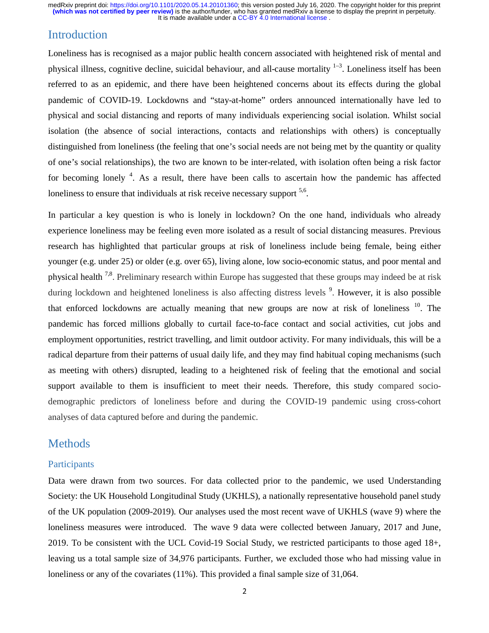# Introduction

Loneliness has is recognised as a major public health concern associated with heightened risk of mental and physical illness, cognitive decline, suicidal behaviour, and all-cause mortality  $1-3$ . Loneliness itself has been referred to as an epidemic, and there have been heightened concerns about its effects during the global pandemic of COVID-19. Lockdowns and "stay-at-home" orders announced internationally have led to physical and social distancing and reports of many individuals experiencing social isolation. Whilst social isolation (the absence of social interactions, contacts and relationships with others) is conceptually distinguished from loneliness (the feeling that one's social needs are not being met by the quantity or quality of one's social relationships), the two are known to be inter-related, with isolation often being a risk factor for becoming lonely <sup>4</sup>. As a result, there have been calls to ascertain how the pandemic has affected loneliness to ensure that individuals at risk receive necessary support <sup>5,6</sup>.

In particular a key question is who is lonely in lockdown? On the one hand, individuals who already experience loneliness may be feeling even more isolated as a result of social distancing measures. Previous research has highlighted that particular groups at risk of loneliness include being female, being either younger (e.g. under 25) or older (e.g. over 65), living alone, low socio-economic status, and poor mental and physical health 7,8. Preliminary research within Europe has suggested that these groups may indeed be at risk during lockdown and heightened loneliness is also affecting distress levels <sup>9</sup>. However, it is also possible that enforced lockdowns are actually meaning that new groups are now at risk of loneliness  $10$ . The pandemic has forced millions globally to curtail face-to-face contact and social activities, cut jobs and employment opportunities, restrict travelling, and limit outdoor activity. For many individuals, this will be a radical departure from their patterns of usual daily life, and they may find habitual coping mechanisms (such as meeting with others) disrupted, leading to a heightened risk of feeling that the emotional and social support available to them is insufficient to meet their needs. Therefore, this study compared sociodemographic predictors of loneliness before and during the COVID-19 pandemic using cross-cohort analyses of data captured before and during the pandemic.

### Methods

### Participants

Data were drawn from two sources. For data collected prior to the pandemic, we used Understanding Society: the UK Household Longitudinal Study (UKHLS), a nationally representative household panel study of the UK population (2009-2019). Our analyses used the most recent wave of UKHLS (wave 9) where the loneliness measures were introduced. The wave 9 data were collected between January, 2017 and June, 2019. To be consistent with the UCL Covid-19 Social Study, we restricted participants to those aged 18+, leaving us a total sample size of 34,976 participants. Further, we excluded those who had missing value in loneliness or any of the covariates (11%). This provided a final sample size of 31,064.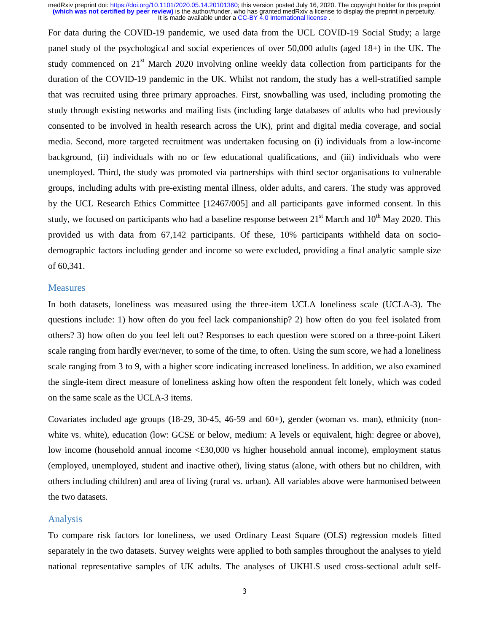For data during the COVID-19 pandemic, we used data from the UCL COVID-19 Social Study; a large panel study of the psychological and social experiences of over 50,000 adults (aged 18+) in the UK. The study commenced on 21<sup>st</sup> March 2020 involving online weekly data collection from participants for the duration of the COVID-19 pandemic in the UK. Whilst not random, the study has a well-stratified sample that was recruited using three primary approaches. First, snowballing was used, including promoting the study through existing networks and mailing lists (including large databases of adults who had previously consented to be involved in health research across the UK), print and digital media coverage, and social media. Second, more targeted recruitment was undertaken focusing on (i) individuals from a low-income background, (ii) individuals with no or few educational qualifications, and (iii) individuals who were unemployed. Third, the study was promoted via partnerships with third sector organisations to vulnerable groups, including adults with pre-existing mental illness, older adults, and carers. The study was approved by the UCL Research Ethics Committee [12467/005] and all participants gave informed consent. In this study, we focused on participants who had a baseline response between  $21<sup>st</sup>$  March and  $10<sup>th</sup>$  May 2020. This provided us with data from 67,142 participants. Of these, 10% participants withheld data on sociodemographic factors including gender and income so were excluded, providing a final analytic sample size of 60,341.

#### Measures

In both datasets, loneliness was measured using the three-item UCLA loneliness scale (UCLA-3). The questions include: 1) how often do you feel lack companionship? 2) how often do you feel isolated from others? 3) how often do you feel left out? Responses to each question were scored on a three-point Likert scale ranging from hardly ever/never, to some of the time, to often. Using the sum score, we had a loneliness scale ranging from 3 to 9, with a higher score indicating increased loneliness. In addition, we also examined the single-item direct measure of loneliness asking how often the respondent felt lonely, which was coded on the same scale as the UCLA-3 items.

Covariates included age groups  $(18-29, 30-45, 46-59, 460)$ , gender (woman vs. man), ethnicity (nonwhite vs. white), education (low: GCSE or below, medium: A levels or equivalent, high: degree or above), low income (household annual income <£30,000 vs higher household annual income), employment status (employed, unemployed, student and inactive other), living status (alone, with others but no children, with others including children) and area of living (rural vs. urban). All variables above were harmonised between the two datasets.

### Analysis

To compare risk factors for loneliness, we used Ordinary Least Square (OLS) regression models fitted separately in the two datasets. Survey weights were applied to both samples throughout the analyses to yield national representative samples of UK adults. The analyses of UKHLS used cross-sectional adult self-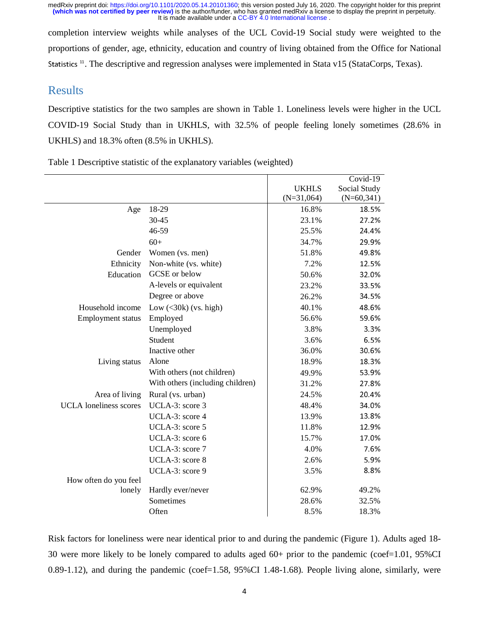completion interview weights while analyses of the UCL Covid-19 Social study were weighted to the proportions of gender, age, ethnicity, education and country of living obtained from the Office for National Statistics<sup>11</sup>. The descriptive and regression analyses were implemented in Stata v15 (StataCorps, Texas).

### Results

Descriptive statistics for the two samples are shown in Table 1. Loneliness levels were higher in the UCL COVID-19 Social Study than in UKHLS, with 32.5% of people feeling lonely sometimes (28.6% in UKHLS) and 18.3% often (8.5% in UKHLS).

Table 1 Descriptive statistic of the explanatory variables (weighted)

|                               |                                  |              | Covid-19     |
|-------------------------------|----------------------------------|--------------|--------------|
|                               |                                  | <b>UKHLS</b> | Social Study |
|                               |                                  | $(N=31,064)$ | $(N=60,341)$ |
| Age                           | 18-29                            | 16.8%        | 18.5%        |
|                               | 30-45                            | 23.1%        | 27.2%        |
|                               | 46-59                            | 25.5%        | 24.4%        |
|                               | $60+$                            | 34.7%        | 29.9%        |
| Gender                        | Women (vs. men)                  | 51.8%        | 49.8%        |
| Ethnicity                     | Non-white (vs. white)            | 7.2%         | 12.5%        |
| Education                     | GCSE or below                    | 50.6%        | 32.0%        |
|                               | A-levels or equivalent           | 23.2%        | 33.5%        |
|                               | Degree or above                  | 26.2%        | 34.5%        |
| Household income              | Low $(<30k)$ (vs. high)          | 40.1%        | 48.6%        |
| <b>Employment status</b>      | Employed                         | 56.6%        | 59.6%        |
|                               | Unemployed                       | 3.8%         | 3.3%         |
|                               | Student                          | 3.6%         | 6.5%         |
|                               | Inactive other                   | 36.0%        | 30.6%        |
| Living status                 | Alone                            | 18.9%        | 18.3%        |
|                               | With others (not children)       | 49.9%        | 53.9%        |
|                               | With others (including children) | 31.2%        | 27.8%        |
| Area of living                | Rural (vs. urban)                | 24.5%        | 20.4%        |
| <b>UCLA</b> loneliness scores | UCLA-3: score 3                  | 48.4%        | 34.0%        |
|                               | UCLA-3: score 4                  | 13.9%        | 13.8%        |
|                               | UCLA-3: score 5                  | 11.8%        | 12.9%        |
|                               | UCLA-3: score 6                  | 15.7%        | 17.0%        |
|                               | UCLA-3: score 7                  | 4.0%         | 7.6%         |
|                               | UCLA-3: score 8                  | 2.6%         | 5.9%         |
|                               | UCLA-3: score 9                  | 3.5%         | 8.8%         |
| How often do you feel         |                                  |              |              |
| lonely                        | Hardly ever/never                | 62.9%        | 49.2%        |
|                               | Sometimes                        | 28.6%        | 32.5%        |
|                               | Often                            | 8.5%         | 18.3%        |

Risk factors for loneliness were near identical prior to and during the pandemic (Figure 1). Adults aged 18- 30 were more likely to be lonely compared to adults aged 60+ prior to the pandemic (coef=1.01, 95%CI 0.89-1.12), and during the pandemic (coef=1.58, 95%CI 1.48-1.68). People living alone, similarly, were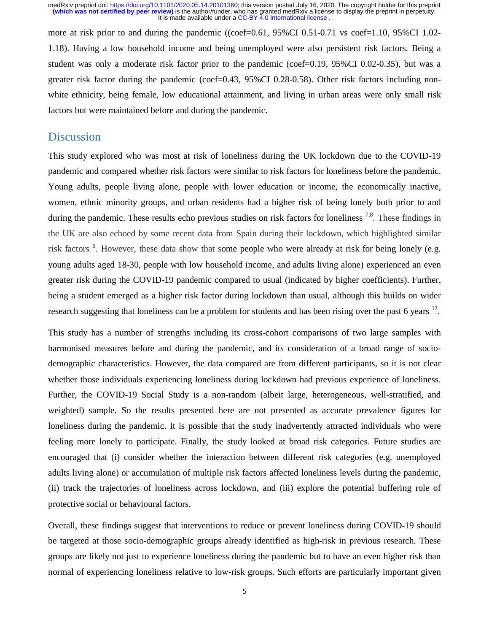more at risk prior to and during the pandemic ((coef=0.61,  $95\%$ CI 0.51-0.71 vs coef=1.10,  $95\%$ CI 1.02-1.18). Having a low household income and being unemployed were also persistent risk factors. Being a student was only a moderate risk factor prior to the pandemic (coef=0.19, 95%CI 0.02-0.35), but was a greater risk factor during the pandemic (coef=0.43, 95%CI 0.28-0.58). Other risk factors including nonwhite ethnicity, being female, low educational attainment, and living in urban areas were only small risk factors but were maintained before and during the pandemic.

### Discussion

This study explored who was most at risk of loneliness during the UK lockdown due to the COVID-19 pandemic and compared whether risk factors were similar to risk factors for loneliness before the pandemic. Young adults, people living alone, people with lower education or income, the economically inactive, women, ethnic minority groups, and urban residents had a higher risk of being lonely both prior to and during the pandemic. These results echo previous studies on risk factors for loneliness <sup>7,8</sup>. These findings in the UK are also echoed by some recent data from Spain during their lockdown, which highlighted similar risk factors<sup>9</sup>. However, these data show that some people who were already at risk for being lonely (e.g. young adults aged 18-30, people with low household income, and adults living alone) experienced an even greater risk during the COVID-19 pandemic compared to usual (indicated by higher coefficients). Further, being a student emerged as a higher risk factor during lockdown than usual, although this builds on wider research suggesting that loneliness can be a problem for students and has been rising over the past 6 years <sup>12</sup>.

This study has a number of strengths including its cross-cohort comparisons of two large samples with harmonised measures before and during the pandemic, and its consideration of a broad range of sociodemographic characteristics. However, the data compared are from different participants, so it is not clear whether those individuals experiencing loneliness during lockdown had previous experience of loneliness. Further, the COVID-19 Social Study is a non-random (albeit large, heterogeneous, well-stratified, and weighted) sample. So the results presented here are not presented as accurate prevalence figures for loneliness during the pandemic. It is possible that the study inadvertently attracted individuals who were feeling more lonely to participate. Finally, the study looked at broad risk categories. Future studies are encouraged that (i) consider whether the interaction between different risk categories (e.g. unemployed adults living alone) or accumulation of multiple risk factors affected loneliness levels during the pandemic, (ii) track the trajectories of loneliness across lockdown, and (iii) explore the potential buffering role of protective social or behavioural factors.

Overall, these findings suggest that interventions to reduce or prevent loneliness during COVID-19 should be targeted at those socio-demographic groups already identified as high-risk in previous research. These groups are likely not just to experience loneliness during the pandemic but to have an even higher risk than normal of experiencing loneliness relative to low-risk groups. Such efforts are particularly important given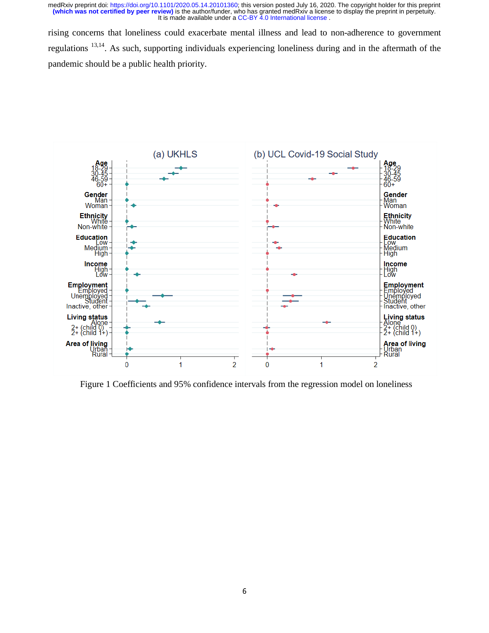rising concerns that loneliness could exacerbate mental illness and lead to non-adherence to government regulations 13,14. As such, supporting individuals experiencing loneliness during and in the aftermath of the pandemic should be a public health priority.



Figure 1 Coefficients and 95% confidence intervals from the regression model on loneliness